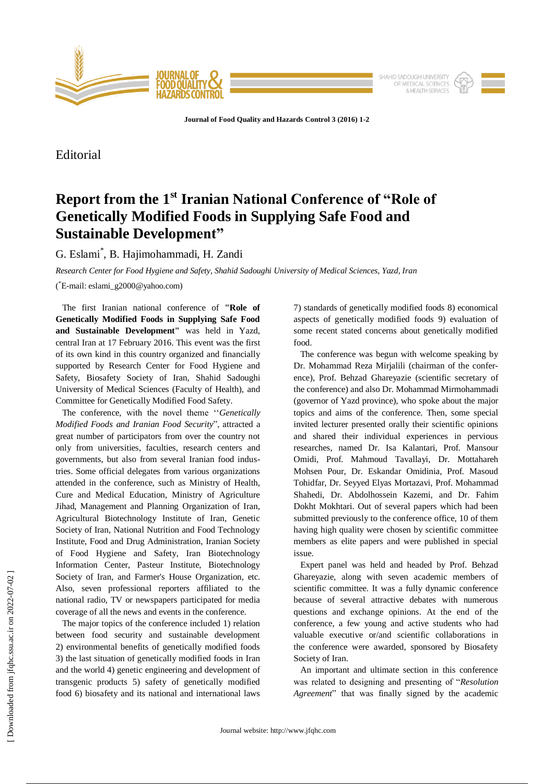

**Journal of Food Quality and Hazards Control 3 (2016) 1-2**

Editorial

## **Report from the 1st Iranian National Conference of "Role of Genetically Modified Foods in Supplying Safe Food and Sustainable Development"**

G. Eslami\* , B. Hajimohammadi, H. Zandi

*Research Center for Food Hygiene and Safety, Shahid Sadoughi University of Medical Sciences, Yazd, Iran*

( \*E-mail: eslami\_g2000@yahoo.com)

 The first Iranian national conference of **"Role of Genetically Modified Foods in Supplying Safe Food and Sustainable Development"** was held in Yazd, central Iran at 17 February 2016. This event was the first of its own kind in this country organized and financially supported by Research Center for Food Hygiene and Safety, Biosafety Society of Iran, Shahid Sadoughi University of Medical Sciences (Faculty of Health), and Committee for Genetically Modified Food Safety.

 The conference, with the novel theme ''*Genetically Modified Foods and Iranian Food Security*", attracted a great number of participators from over the country not only from universities, faculties, research centers and governments, but also from several Iranian food industries. Some official delegates from various organizations attended in the conference, such as Ministry of Health, Cure and Medical Education, Ministry of Agriculture Jihad, Management and Planning Organization of Iran, Agricultural Biotechnology Institute of Iran, Genetic Society of Iran, National Nutrition and Food Technology Institute, Food and Drug Administration, Iranian Society of Food Hygiene and Safety, Iran Biotechnology Information Center, Pasteur Institute, Biotechnology Society of Iran, and Farmer's House Organization, etc. Also, seven professional reporters affiliated to the national radio, TV or newspapers participated for media coverage of all the news and events in the conference.

 The major topics of the conference included 1) relation between food security and sustainable development 2) environmental benefits of genetically modified foods 3) the last situation of genetically modified foods in Iran and the world 4) genetic engineering and development of transgenic products 5) safety of genetically modified food 6) biosafety and its national and international laws

7) standards of genetically modified foods 8) economical aspects of genetically modified foods 9) evaluation of some recent stated concerns about genetically modified food.

 The conference was begun with welcome speaking by Dr. Mohammad Reza Mirjalili (chairman of the conference), Prof. Behzad Ghareyazie (scientific secretary of the conference) and also Dr. Mohammad Mirmohammadi (governor of Yazd province), who spoke about the major topics and aims of the conference. Then, some special invited lecturer presented orally their scientific opinions and shared their individual experiences in pervious researches, named Dr. Isa Kalantari, Prof. Mansour Omidi, Prof. Mahmoud Tavallayi, Dr. Mottahareh Mohsen Pour, Dr. Eskandar Omidinia, Prof. Masoud Tohidfar, Dr. Seyyed Elyas Mortazavi, Prof. Mohammad Shahedi, Dr. Abdolhossein Kazemi, and Dr. Fahim Dokht Mokhtari. Out of several papers which had been submitted previously to the conference office, 10 of them having high quality were chosen by scientific committee members as elite papers and were published in special issue.

 Expert panel was held and headed by Prof. Behzad Ghareyazie, along with seven academic members of scientific committee. It was a fully dynamic conference because of several attractive debates with numerous questions and exchange opinions. At the end of the conference, a few young and active students who had valuable executive or/and scientific collaborations in the conference were awarded, sponsored by Biosafety Society of Iran.

 An important and ultimate section in this conference was related to designing and presenting of "*Resolution Agreement*" that was finally signed by the academic